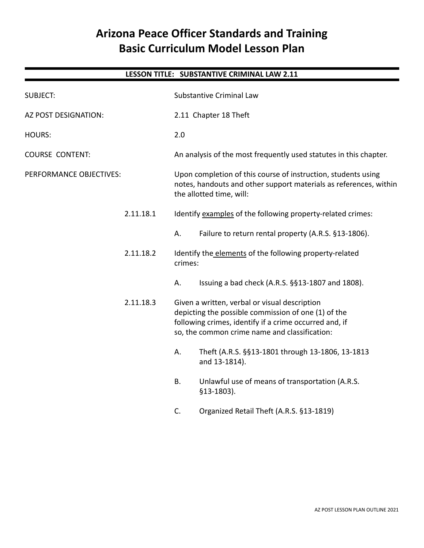# **Arizona Peace Officer Standards and Training Basic Curriculum Model Lesson Plan**

# **LESSON TITLE: SUBSTANTIVE CRIMINAL LAW 2.11**

| <b>SUBJECT:</b>         |           | <b>Substantive Criminal Law</b>                                                                                                                                                                                 |                                                                                                                                                                |
|-------------------------|-----------|-----------------------------------------------------------------------------------------------------------------------------------------------------------------------------------------------------------------|----------------------------------------------------------------------------------------------------------------------------------------------------------------|
| AZ POST DESIGNATION:    |           | 2.11 Chapter 18 Theft                                                                                                                                                                                           |                                                                                                                                                                |
| <b>HOURS:</b>           |           | 2.0                                                                                                                                                                                                             |                                                                                                                                                                |
| <b>COURSE CONTENT:</b>  |           |                                                                                                                                                                                                                 | An analysis of the most frequently used statutes in this chapter.                                                                                              |
| PERFORMANCE OBJECTIVES: |           |                                                                                                                                                                                                                 | Upon completion of this course of instruction, students using<br>notes, handouts and other support materials as references, within<br>the allotted time, will: |
|                         | 2.11.18.1 |                                                                                                                                                                                                                 | Identify examples of the following property-related crimes:                                                                                                    |
|                         |           | А.                                                                                                                                                                                                              | Failure to return rental property (A.R.S. §13-1806).                                                                                                           |
|                         | 2.11.18.2 | crimes:                                                                                                                                                                                                         | Identify the elements of the following property-related                                                                                                        |
|                         |           | А.                                                                                                                                                                                                              | Issuing a bad check (A.R.S. §§13-1807 and 1808).                                                                                                               |
|                         | 2.11.18.3 | Given a written, verbal or visual description<br>depicting the possible commission of one (1) of the<br>following crimes, identify if a crime occurred and, if<br>so, the common crime name and classification: |                                                                                                                                                                |
|                         |           | А.                                                                                                                                                                                                              | Theft (A.R.S. §§13-1801 through 13-1806, 13-1813<br>and 13-1814).                                                                                              |
|                         |           | <b>B.</b>                                                                                                                                                                                                       | Unlawful use of means of transportation (A.R.S.<br>$$13-1803$ ).                                                                                               |
|                         |           | C.                                                                                                                                                                                                              | Organized Retail Theft (A.R.S. §13-1819)                                                                                                                       |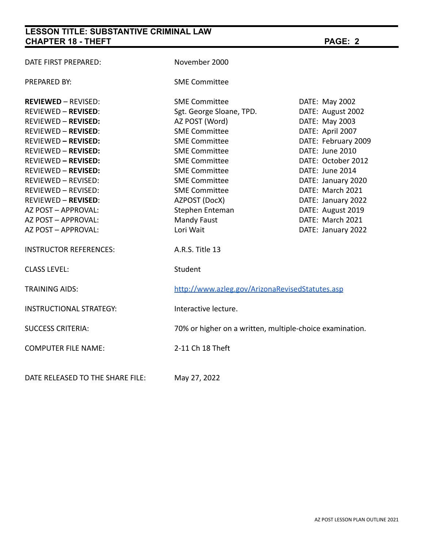| DATE FIRST PREPARED:             | November 2000                                            |                     |
|----------------------------------|----------------------------------------------------------|---------------------|
| PREPARED BY:                     | <b>SME Committee</b>                                     |                     |
| <b>REVIEWED - REVISED:</b>       | <b>SME Committee</b>                                     | DATE: May 2002      |
| <b>REVIEWED - REVISED:</b>       | Sgt. George Sloane, TPD.                                 | DATE: August 2002   |
| <b>REVIEWED - REVISED:</b>       | AZ POST (Word)                                           | DATE: May 2003      |
| <b>REVIEWED - REVISED:</b>       | <b>SME Committee</b>                                     | DATE: April 2007    |
| <b>REVIEWED - REVISED:</b>       | <b>SME Committee</b>                                     | DATE: February 2009 |
| <b>REVIEWED - REVISED:</b>       | <b>SME Committee</b>                                     | DATE: June 2010     |
| <b>REVIEWED - REVISED:</b>       | <b>SME Committee</b>                                     | DATE: October 2012  |
| <b>REVIEWED - REVISED:</b>       | <b>SME Committee</b>                                     | DATE: June 2014     |
| <b>REVIEWED - REVISED:</b>       | <b>SME Committee</b>                                     | DATE: January 2020  |
| REVIEWED - REVISED:              | <b>SME Committee</b>                                     | DATE: March 2021    |
| <b>REVIEWED - REVISED:</b>       | AZPOST (DocX)                                            | DATE: January 2022  |
| AZ POST - APPROVAL:              | Stephen Enteman                                          | DATE: August 2019   |
| AZ POST - APPROVAL:              | Mandy Faust                                              | DATE: March 2021    |
| AZ POST - APPROVAL:              | Lori Wait                                                | DATE: January 2022  |
| <b>INSTRUCTOR REFERENCES:</b>    | A.R.S. Title 13                                          |                     |
| <b>CLASS LEVEL:</b>              | Student                                                  |                     |
| <b>TRAINING AIDS:</b>            | http://www.azleg.gov/ArizonaRevisedStatutes.asp          |                     |
| <b>INSTRUCTIONAL STRATEGY:</b>   | Interactive lecture.                                     |                     |
| <b>SUCCESS CRITERIA:</b>         | 70% or higher on a written, multiple-choice examination. |                     |
| <b>COMPUTER FILE NAME:</b>       | 2-11 Ch 18 Theft                                         |                     |
| DATE RELEASED TO THE SHARE FILE: | May 27, 2022                                             |                     |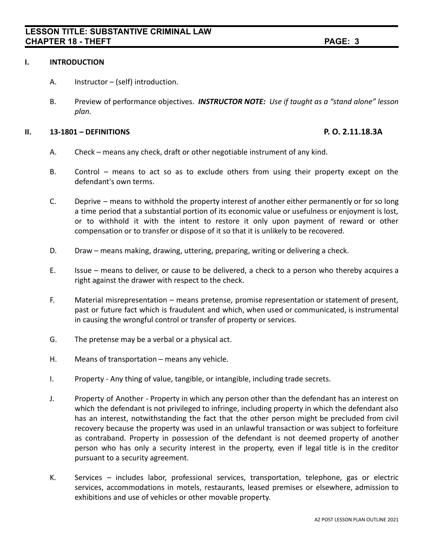### **I. INTRODUCTION**

- A. Instructor (self) introduction.
- B. Preview of performance objectives. *INSTRUCTOR NOTE: Use if taught as a "stand alone" lesson plan.*

#### **II. 13-1801 – DEFINITIONS P. O. 2.11.18.3A**

- A. Check means any check, draft or other negotiable instrument of any kind.
- B. Control means to act so as to exclude others from using their property except on the defendant's own terms.
- C. Deprive means to withhold the property interest of another either permanently or for so long a time period that a substantial portion of its economic value or usefulness or enjoyment is lost, or to withhold it with the intent to restore it only upon payment of reward or other compensation or to transfer or dispose of it so that it is unlikely to be recovered.
- D. Draw means making, drawing, uttering, preparing, writing or delivering a check.
- E. Issue means to deliver, or cause to be delivered, a check to a person who thereby acquires a right against the drawer with respect to the check.
- F. Material misrepresentation means pretense, promise representation or statement of present, past or future fact which is fraudulent and which, when used or communicated, is instrumental in causing the wrongful control or transfer of property or services.
- G. The pretense may be a verbal or a physical act.
- H. Means of transportation means any vehicle.
- I. Property Any thing of value, tangible, or intangible, including trade secrets.
- J. Property of Another Property in which any person other than the defendant has an interest on which the defendant is not privileged to infringe, including property in which the defendant also has an interest, notwithstanding the fact that the other person might be precluded from civil recovery because the property was used in an unlawful transaction or was subject to forfeiture as contraband. Property in possession of the defendant is not deemed property of another person who has only a security interest in the property, even if legal title is in the creditor pursuant to a security agreement.
- K. Services includes labor, professional services, transportation, telephone, gas or electric services, accommodations in motels, restaurants, leased premises or elsewhere, admission to exhibitions and use of vehicles or other movable property.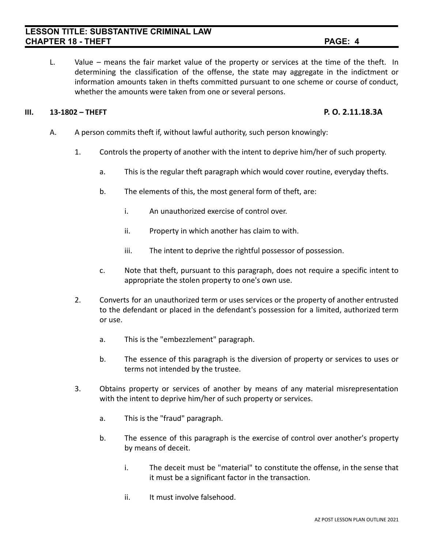L. Value – means the fair market value of the property or services at the time of the theft. In determining the classification of the offense, the state may aggregate in the indictment or information amounts taken in thefts committed pursuant to one scheme or course of conduct, whether the amounts were taken from one or several persons.

#### **III. 13-1802 – THEFT P. O. 2.11.18.3A**

- 
- A. A person commits theft if, without lawful authority, such person knowingly:
	- 1. Controls the property of another with the intent to deprive him/her of such property.
		- a. This is the regular theft paragraph which would cover routine, everyday thefts.
		- b. The elements of this, the most general form of theft, are:
			- i. An unauthorized exercise of control over.
			- ii. Property in which another has claim to with.
			- iii. The intent to deprive the rightful possessor of possession.
		- c. Note that theft, pursuant to this paragraph, does not require a specific intent to appropriate the stolen property to one's own use.
	- 2. Converts for an unauthorized term or uses services or the property of another entrusted to the defendant or placed in the defendant's possession for a limited, authorized term or use.
		- a. This is the "embezzlement" paragraph.
		- b. The essence of this paragraph is the diversion of property or services to uses or terms not intended by the trustee.
	- 3. Obtains property or services of another by means of any material misrepresentation with the intent to deprive him/her of such property or services.
		- a. This is the "fraud" paragraph.
		- b. The essence of this paragraph is the exercise of control over another's property by means of deceit.
			- i. The deceit must be "material" to constitute the offense, in the sense that it must be a significant factor in the transaction.
			- ii. It must involve falsehood.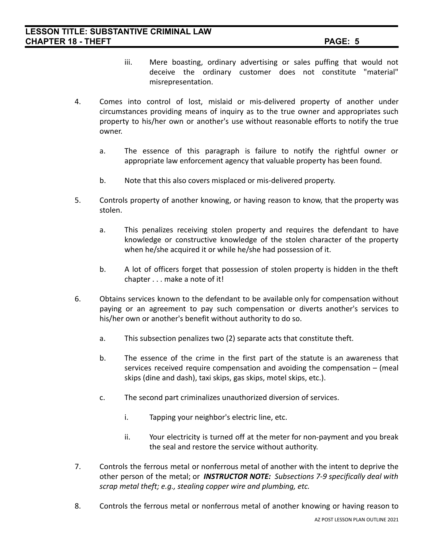- iii. Mere boasting, ordinary advertising or sales puffing that would not deceive the ordinary customer does not constitute "material" misrepresentation.
- 4. Comes into control of lost, mislaid or mis-delivered property of another under circumstances providing means of inquiry as to the true owner and appropriates such property to his/her own or another's use without reasonable efforts to notify the true owner.
	- a. The essence of this paragraph is failure to notify the rightful owner or appropriate law enforcement agency that valuable property has been found.
	- b. Note that this also covers misplaced or mis-delivered property.
- 5. Controls property of another knowing, or having reason to know, that the property was stolen.
	- a. This penalizes receiving stolen property and requires the defendant to have knowledge or constructive knowledge of the stolen character of the property when he/she acquired it or while he/she had possession of it.
	- b. A lot of officers forget that possession of stolen property is hidden in the theft chapter . . . make a note of it!
- 6. Obtains services known to the defendant to be available only for compensation without paying or an agreement to pay such compensation or diverts another's services to his/her own or another's benefit without authority to do so.
	- a. This subsection penalizes two (2) separate acts that constitute theft.
	- b. The essence of the crime in the first part of the statute is an awareness that services received require compensation and avoiding the compensation – (meal skips (dine and dash), taxi skips, gas skips, motel skips, etc.).
	- c. The second part criminalizes unauthorized diversion of services.
		- i. Tapping your neighbor's electric line, etc.
		- ii. Your electricity is turned off at the meter for non-payment and you break the seal and restore the service without authority.
- 7. Controls the ferrous metal or nonferrous metal of another with the intent to deprive the other person of the metal; or *INSTRUCTOR NOTE: Subsections 7-9 specifically deal with scrap metal theft; e.g., stealing copper wire and plumbing, etc.*
- 8. Controls the ferrous metal or nonferrous metal of another knowing or having reason to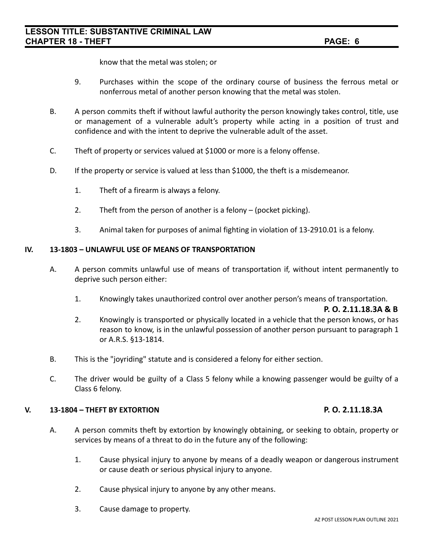know that the metal was stolen; or

- 9. Purchases within the scope of the ordinary course of business the ferrous metal or nonferrous metal of another person knowing that the metal was stolen.
- B. A person commits theft if without lawful authority the person knowingly takes control, title, use or management of a vulnerable adult's property while acting in a position of trust and confidence and with the intent to deprive the vulnerable adult of the asset.
- C. Theft of property or services valued at \$1000 or more is a felony offense.
- D. If the property or service is valued at less than \$1000, the theft is a misdemeanor.
	- 1. Theft of a firearm is always a felony.
	- 2. Theft from the person of another is a felony (pocket picking).
	- 3. Animal taken for purposes of animal fighting in violation of 13-2910.01 is a felony.

#### **IV. 13-1803 – UNLAWFUL USE OF MEANS OF TRANSPORTATION**

- A. A person commits unlawful use of means of transportation if, without intent permanently to deprive such person either:
	- 1. Knowingly takes unauthorized control over another person's means of transportation.

**P. O. 2.11.18.3A & B**

- 2. Knowingly is transported or physically located in a vehicle that the person knows, or has reason to know, is in the unlawful possession of another person pursuant to paragraph 1 or A.R.S. §13-1814.
- B. This is the "joyriding" statute and is considered a felony for either section.
- C. The driver would be guilty of a Class 5 felony while a knowing passenger would be guilty of a Class 6 felony.

#### **V. 13-1804 – THEFT BY EXTORTION P. O. 2.11.18.3A**

- A. A person commits theft by extortion by knowingly obtaining, or seeking to obtain, property or services by means of a threat to do in the future any of the following:
	- 1. Cause physical injury to anyone by means of a deadly weapon or dangerous instrument or cause death or serious physical injury to anyone.
	- 2. Cause physical injury to anyone by any other means.
	- 3. Cause damage to property.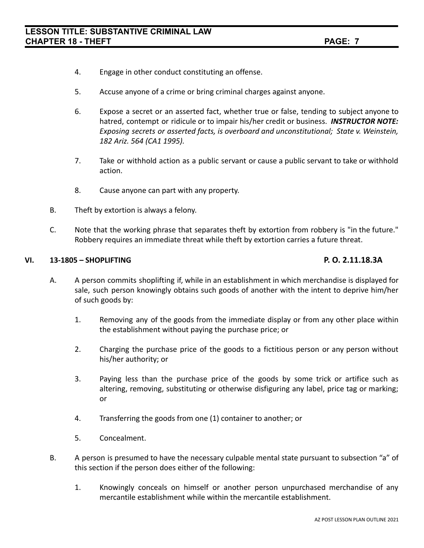- 4. Engage in other conduct constituting an offense.
- 5. Accuse anyone of a crime or bring criminal charges against anyone.
- 6. Expose a secret or an asserted fact, whether true or false, tending to subject anyone to hatred, contempt or ridicule or to impair his/her credit or business. *INSTRUCTOR NOTE: Exposing secrets or asserted facts, is overboard and unconstitutional; State v. Weinstein, 182 Ariz. 564 (CA1 1995).*
- 7. Take or withhold action as a public servant or cause a public servant to take or withhold action.
- 8. Cause anyone can part with any property.
- B. Theft by extortion is always a felony.
- C. Note that the working phrase that separates theft by extortion from robbery is "in the future." Robbery requires an immediate threat while theft by extortion carries a future threat.

#### **VI. 13-1805 – SHOPLIFTING P. O. 2.11.18.3A**

- A. A person commits shoplifting if, while in an establishment in which merchandise is displayed for sale, such person knowingly obtains such goods of another with the intent to deprive him/her of such goods by:
	- 1. Removing any of the goods from the immediate display or from any other place within the establishment without paying the purchase price; or
	- 2. Charging the purchase price of the goods to a fictitious person or any person without his/her authority; or
	- 3. Paying less than the purchase price of the goods by some trick or artifice such as altering, removing, substituting or otherwise disfiguring any label, price tag or marking; or
	- 4. Transferring the goods from one (1) container to another; or
	- 5. Concealment.
- B. A person is presumed to have the necessary culpable mental state pursuant to subsection "a" of this section if the person does either of the following:
	- 1. Knowingly conceals on himself or another person unpurchased merchandise of any mercantile establishment while within the mercantile establishment.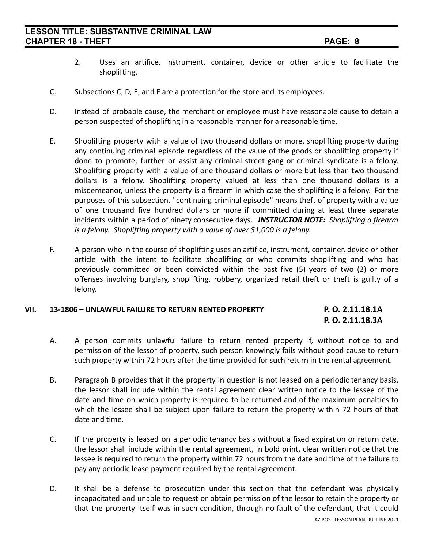- 2. Uses an artifice, instrument, container, device or other article to facilitate the shoplifting.
- C. Subsections C, D, E, and F are a protection for the store and its employees.
- D. Instead of probable cause, the merchant or employee must have reasonable cause to detain a person suspected of shoplifting in a reasonable manner for a reasonable time.
- E. Shoplifting property with a value of two thousand dollars or more, shoplifting property during any continuing criminal episode regardless of the value of the goods or shoplifting property if done to promote, further or assist any criminal street gang or criminal syndicate is a felony. Shoplifting property with a value of one thousand dollars or more but less than two thousand dollars is a felony. Shoplifting property valued at less than one thousand dollars is a misdemeanor, unless the property is a firearm in which case the shoplifting is a felony. For the purposes of this subsection, "continuing criminal episode" means theft of property with a value of one thousand five hundred dollars or more if committed during at least three separate incidents within a period of ninety consecutive days. *INSTRUCTOR NOTE: Shoplifting a firearm is a felony. Shoplifting property with a value of over \$1,000 is a felony.*
- F. A person who in the course of shoplifting uses an artifice, instrument, container, device or other article with the intent to facilitate shoplifting or who commits shoplifting and who has previously committed or been convicted within the past five (5) years of two (2) or more offenses involving burglary, shoplifting, robbery, organized retail theft or theft is guilty of a felony.

### **VII. 13-1806 – UNLAWFUL FAILURE TO RETURN RENTED PROPERTY P. O. 2.11.18.1A P. O. 2.11.18.3A**

- A. A person commits unlawful failure to return rented property if, without notice to and permission of the lessor of property, such person knowingly fails without good cause to return such property within 72 hours after the time provided for such return in the rental agreement.
- B. Paragraph B provides that if the property in question is not leased on a periodic tenancy basis, the lessor shall include within the rental agreement clear written notice to the lessee of the date and time on which property is required to be returned and of the maximum penalties to which the lessee shall be subject upon failure to return the property within 72 hours of that date and time.
- C. If the property is leased on a periodic tenancy basis without a fixed expiration or return date, the lessor shall include within the rental agreement, in bold print, clear written notice that the lessee is required to return the property within 72 hours from the date and time of the failure to pay any periodic lease payment required by the rental agreement.
- D. It shall be a defense to prosecution under this section that the defendant was physically incapacitated and unable to request or obtain permission of the lessor to retain the property or that the property itself was in such condition, through no fault of the defendant, that it could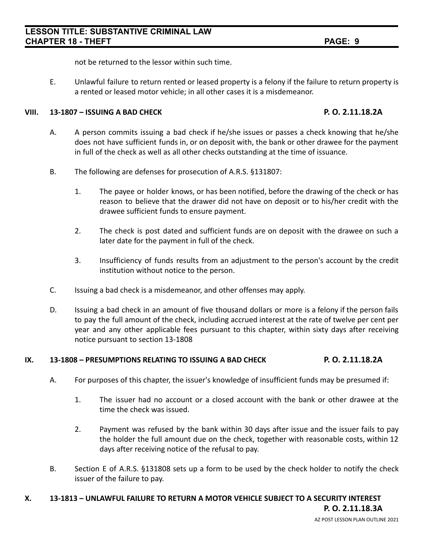not be returned to the lessor within such time.

E. Unlawful failure to return rented or leased property is a felony if the failure to return property is a rented or leased motor vehicle; in all other cases it is a misdemeanor.

### **VIII. 13-1807 – ISSUING A BAD CHECK P. O. 2.11.18.2A**

- A. A person commits issuing a bad check if he/she issues or passes a check knowing that he/she does not have sufficient funds in, or on deposit with, the bank or other drawee for the payment in full of the check as well as all other checks outstanding at the time of issuance.
- B. The following are defenses for prosecution of A.R.S. §131807:
	- 1. The payee or holder knows, or has been notified, before the drawing of the check or has reason to believe that the drawer did not have on deposit or to his/her credit with the drawee sufficient funds to ensure payment.
	- 2. The check is post dated and sufficient funds are on deposit with the drawee on such a later date for the payment in full of the check.
	- 3. Insufficiency of funds results from an adjustment to the person's account by the credit institution without notice to the person.
- C. Issuing a bad check is a misdemeanor, and other offenses may apply.
- D. Issuing a bad check in an amount of five thousand dollars or more is a felony if the person fails to pay the full amount of the check, including accrued interest at the rate of twelve per cent per year and any other applicable fees pursuant to this chapter, within sixty days after receiving notice pursuant to section 13-1808

### **IX. 13-1808 – PRESUMPTIONS RELATING TO ISSUING A BAD CHECK P. O. 2.11.18.2A**

- A. For purposes of this chapter, the issuer's knowledge of insufficient funds may be presumed if:
	- 1. The issuer had no account or a closed account with the bank or other drawee at the time the check was issued.
	- 2. Payment was refused by the bank within 30 days after issue and the issuer fails to pay the holder the full amount due on the check, together with reasonable costs, within 12 days after receiving notice of the refusal to pay.
- B. Section E of A.R.S. §131808 sets up a form to be used by the check holder to notify the check issuer of the failure to pay.

### **X. 13-1813 – UNLAWFUL FAILURE TO RETURN A MOTOR VEHICLE SUBJECT TO A SECURITY INTEREST**

**P. O. 2.11.18.3A**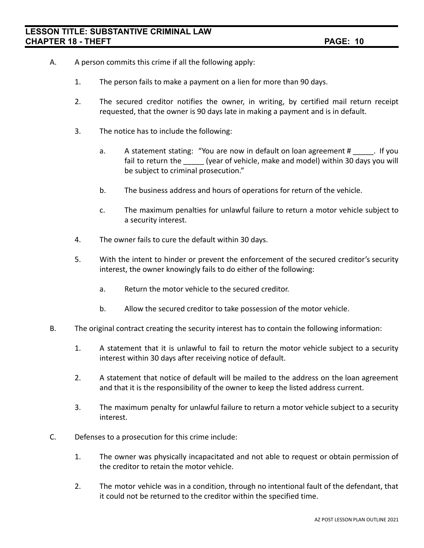- A. A person commits this crime if all the following apply:
	- 1. The person fails to make a payment on a lien for more than 90 days.
	- 2. The secured creditor notifies the owner, in writing, by certified mail return receipt requested, that the owner is 90 days late in making a payment and is in default.
	- 3. The notice has to include the following:
		- a. A statement stating: "You are now in default on loan agreement # \_\_\_\_. If you fail to return the \_\_\_\_\_ (year of vehicle, make and model) within 30 days you will be subject to criminal prosecution."
		- b. The business address and hours of operations for return of the vehicle.
		- c. The maximum penalties for unlawful failure to return a motor vehicle subject to a security interest.
	- 4. The owner fails to cure the default within 30 days.
	- 5. With the intent to hinder or prevent the enforcement of the secured creditor's security interest, the owner knowingly fails to do either of the following:
		- a. Return the motor vehicle to the secured creditor.
		- b. Allow the secured creditor to take possession of the motor vehicle.
- B. The original contract creating the security interest has to contain the following information:
	- 1. A statement that it is unlawful to fail to return the motor vehicle subject to a security interest within 30 days after receiving notice of default.
	- 2. A statement that notice of default will be mailed to the address on the loan agreement and that it is the responsibility of the owner to keep the listed address current.
	- 3. The maximum penalty for unlawful failure to return a motor vehicle subject to a security interest.
- C. Defenses to a prosecution for this crime include:
	- 1. The owner was physically incapacitated and not able to request or obtain permission of the creditor to retain the motor vehicle.
	- 2. The motor vehicle was in a condition, through no intentional fault of the defendant, that it could not be returned to the creditor within the specified time.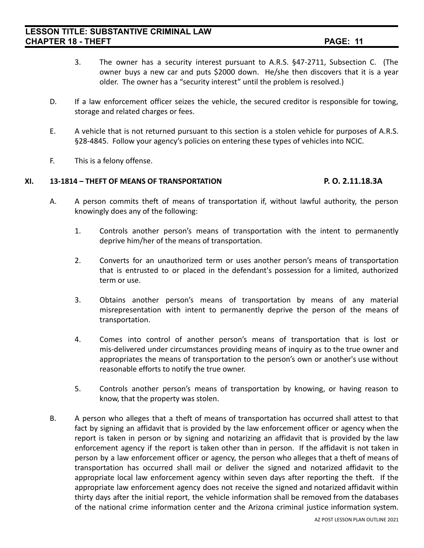- 3. The owner has a security interest pursuant to A.R.S. §47-2711, Subsection C. (The owner buys a new car and puts \$2000 down. He/she then discovers that it is a year older. The owner has a "security interest" until the problem is resolved.)
- D. If a law enforcement officer seizes the vehicle, the secured creditor is responsible for towing, storage and related charges or fees.
- E. A vehicle that is not returned pursuant to this section is a stolen vehicle for purposes of A.R.S. §28-4845. Follow your agency's policies on entering these types of vehicles into NCIC.
- F. This is a felony offense.

### **XI. 13-1814 – THEFT OF MEANS OF TRANSPORTATION P. O. 2.11.18.3A**

- A. A person commits theft of means of transportation if, without lawful authority, the person knowingly does any of the following:
	- 1. Controls another person's means of transportation with the intent to permanently deprive him/her of the means of transportation.
	- 2. Converts for an unauthorized term or uses another person's means of transportation that is entrusted to or placed in the defendant's possession for a limited, authorized term or use.
	- 3. Obtains another person's means of transportation by means of any material misrepresentation with intent to permanently deprive the person of the means of transportation.
	- 4. Comes into control of another person's means of transportation that is lost or mis-delivered under circumstances providing means of inquiry as to the true owner and appropriates the means of transportation to the person's own or another's use without reasonable efforts to notify the true owner.
	- 5. Controls another person's means of transportation by knowing, or having reason to know, that the property was stolen.
- B. A person who alleges that a theft of means of transportation has occurred shall attest to that fact by signing an affidavit that is provided by the law enforcement officer or agency when the report is taken in person or by signing and notarizing an affidavit that is provided by the law enforcement agency if the report is taken other than in person. If the affidavit is not taken in person by a law enforcement officer or agency, the person who alleges that a theft of means of transportation has occurred shall mail or deliver the signed and notarized affidavit to the appropriate local law enforcement agency within seven days after reporting the theft. If the appropriate law enforcement agency does not receive the signed and notarized affidavit within thirty days after the initial report, the vehicle information shall be removed from the databases of the national crime information center and the Arizona criminal justice information system.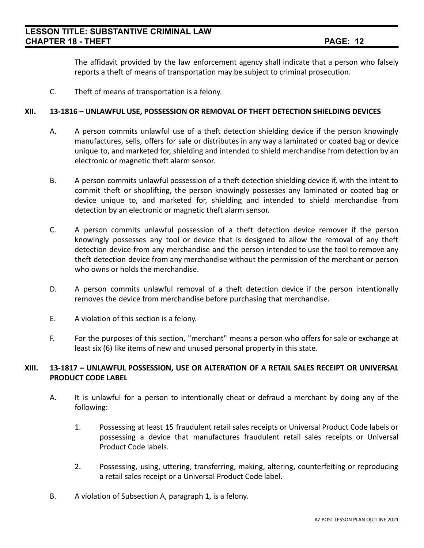The affidavit provided by the law enforcement agency shall indicate that a person who falsely reports a theft of means of transportation may be subject to criminal prosecution.

C. Theft of means of transportation is a felony.

### **XII. 13-1816 – UNLAWFUL USE, POSSESSION OR REMOVAL OF THEFT DETECTION SHIELDING DEVICES**

- A. A person commits unlawful use of a theft detection shielding device if the person knowingly manufactures, sells, offers for sale or distributes in any way a laminated or coated bag or device unique to, and marketed for, shielding and intended to shield merchandise from detection by an electronic or magnetic theft alarm sensor.
- B. A person commits unlawful possession of a theft detection shielding device if, with the intent to commit theft or shoplifting, the person knowingly possesses any laminated or coated bag or device unique to, and marketed for, shielding and intended to shield merchandise from detection by an electronic or magnetic theft alarm sensor.
- C. A person commits unlawful possession of a theft detection device remover if the person knowingly possesses any tool or device that is designed to allow the removal of any theft detection device from any merchandise and the person intended to use the tool to remove any theft detection device from any merchandise without the permission of the merchant or person who owns or holds the merchandise.
- D. A person commits unlawful removal of a theft detection device if the person intentionally removes the device from merchandise before purchasing that merchandise.
- E. A violation of this section is a felony.
- F. For the purposes of this section, "merchant" means a person who offers for sale or exchange at least six (6) like items of new and unused personal property in this state.

### **XIII. 13-1817 – UNLAWFUL POSSESSION, USE OR ALTERATION OF A RETAIL SALES RECEIPT OR UNIVERSAL PRODUCT CODE LABEL**

- A. It is unlawful for a person to intentionally cheat or defraud a merchant by doing any of the following:
	- 1. Possessing at least 15 fraudulent retail sales receipts or Universal Product Code labels or possessing a device that manufactures fraudulent retail sales receipts or Universal Product Code labels.
	- 2. Possessing, using, uttering, transferring, making, altering, counterfeiting or reproducing a retail sales receipt or a Universal Product Code label.
- B. A violation of Subsection A, paragraph 1, is a felony.